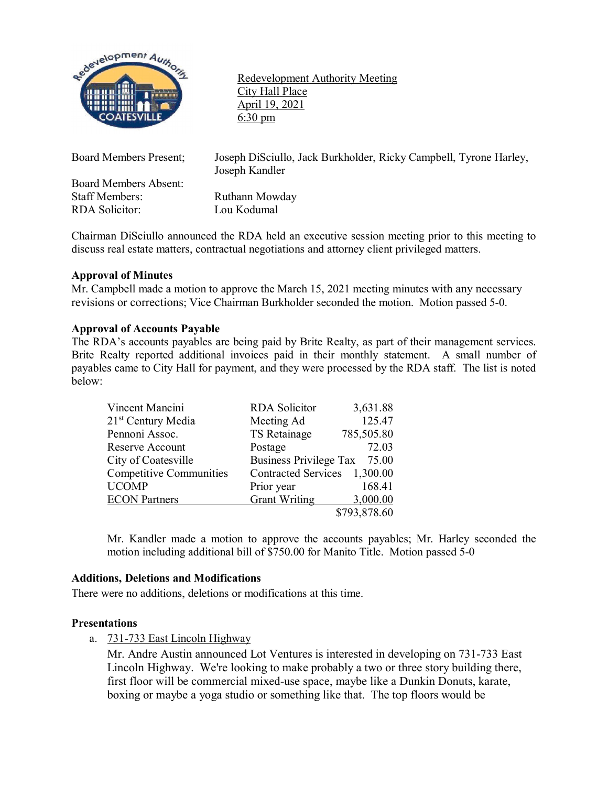

Redevelopment Authority Meeting City Hall Place April 19, 2021 6:30 pm

Board Members Absent: Staff Members: Ruthann Mowday RDA Solicitor: Lou Kodumal

Board Members Present; Joseph DiSciullo, Jack Burkholder, Ricky Campbell, Tyrone Harley, Joseph Kandler

Chairman DiSciullo announced the RDA held an executive session meeting prior to this meeting to discuss real estate matters, contractual negotiations and attorney client privileged matters.

# **Approval of Minutes**

Mr. Campbell made a motion to approve the March 15, 2021 meeting minutes with any necessary revisions or corrections; Vice Chairman Burkholder seconded the motion. Motion passed 5-0.

## **Approval of Accounts Payable**

The RDA's accounts payables are being paid by Brite Realty, as part of their management services. Brite Realty reported additional invoices paid in their monthly statement. A small number of payables came to City Hall for payment, and they were processed by the RDA staff. The list is noted below:

| Vincent Mancini                | <b>RDA</b> Solicitor         | 3,631.88     |
|--------------------------------|------------------------------|--------------|
| 21 <sup>st</sup> Century Media | Meeting Ad                   | 125.47       |
| Pennoni Assoc.                 | TS Retainage                 | 785,505.80   |
| Reserve Account                | Postage                      | 72.03        |
| City of Coatesville            | Business Privilege Tax 75.00 |              |
| <b>Competitive Communities</b> | Contracted Services 1,300.00 |              |
| <b>UCOMP</b>                   | Prior year                   | 168.41       |
| <b>ECON</b> Partners           | <b>Grant Writing</b>         | 3,000.00     |
|                                |                              | \$793,878.60 |

Mr. Kandler made a motion to approve the accounts payables; Mr. Harley seconded the motion including additional bill of \$750.00 for Manito Title. Motion passed 5-0

## **Additions, Deletions and Modifications**

There were no additions, deletions or modifications at this time.

## **Presentations**

a. 731-733 East Lincoln Highway

Mr. Andre Austin announced Lot Ventures is interested in developing on 731-733 East Lincoln Highway. We're looking to make probably a two or three story building there, first floor will be commercial mixed-use space, maybe like a Dunkin Donuts, karate, boxing or maybe a yoga studio or something like that. The top floors would be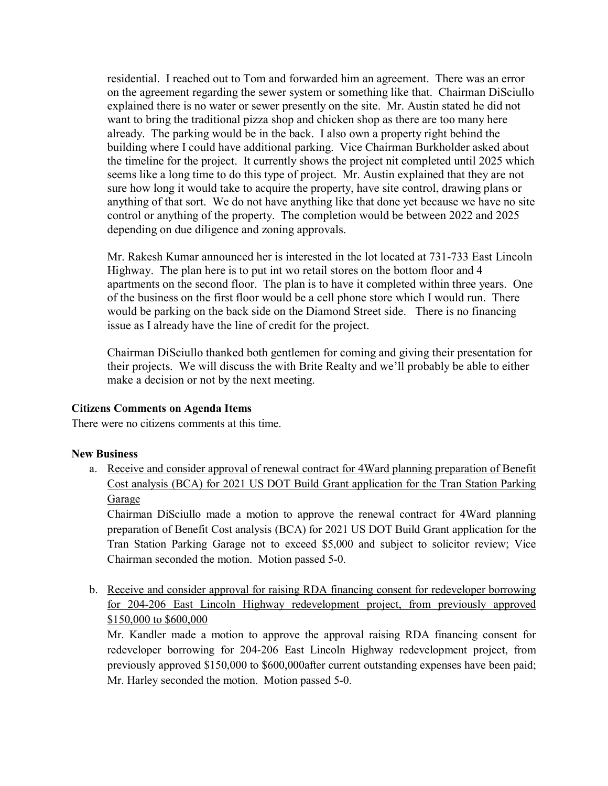residential. I reached out to Tom and forwarded him an agreement. There was an error on the agreement regarding the sewer system or something like that. Chairman DiSciullo explained there is no water or sewer presently on the site. Mr. Austin stated he did not want to bring the traditional pizza shop and chicken shop as there are too many here already. The parking would be in the back. I also own a property right behind the building where I could have additional parking. Vice Chairman Burkholder asked about the timeline for the project. It currently shows the project nit completed until 2025 which seems like a long time to do this type of project. Mr. Austin explained that they are not sure how long it would take to acquire the property, have site control, drawing plans or anything of that sort. We do not have anything like that done yet because we have no site control or anything of the property. The completion would be between 2022 and 2025 depending on due diligence and zoning approvals.

Mr. Rakesh Kumar announced her is interested in the lot located at 731-733 East Lincoln Highway. The plan here is to put int wo retail stores on the bottom floor and 4 apartments on the second floor. The plan is to have it completed within three years. One of the business on the first floor would be a cell phone store which I would run. There would be parking on the back side on the Diamond Street side. There is no financing issue as I already have the line of credit for the project.

Chairman DiSciullo thanked both gentlemen for coming and giving their presentation for their projects. We will discuss the with Brite Realty and we'll probably be able to either make a decision or not by the next meeting.

## **Citizens Comments on Agenda Items**

There were no citizens comments at this time.

## **New Business**

a. Receive and consider approval of renewal contract for 4Ward planning preparation of Benefit Cost analysis (BCA) for 2021 US DOT Build Grant application for the Tran Station Parking Garage

Chairman DiSciullo made a motion to approve the renewal contract for 4Ward planning preparation of Benefit Cost analysis (BCA) for 2021 US DOT Build Grant application for the Tran Station Parking Garage not to exceed \$5,000 and subject to solicitor review; Vice Chairman seconded the motion. Motion passed 5-0.

b. Receive and consider approval for raising RDA financing consent for redeveloper borrowing for 204-206 East Lincoln Highway redevelopment project, from previously approved \$150,000 to \$600,000

Mr. Kandler made a motion to approve the approval raising RDA financing consent for redeveloper borrowing for 204-206 East Lincoln Highway redevelopment project, from previously approved \$150,000 to \$600,000after current outstanding expenses have been paid; Mr. Harley seconded the motion. Motion passed 5-0.